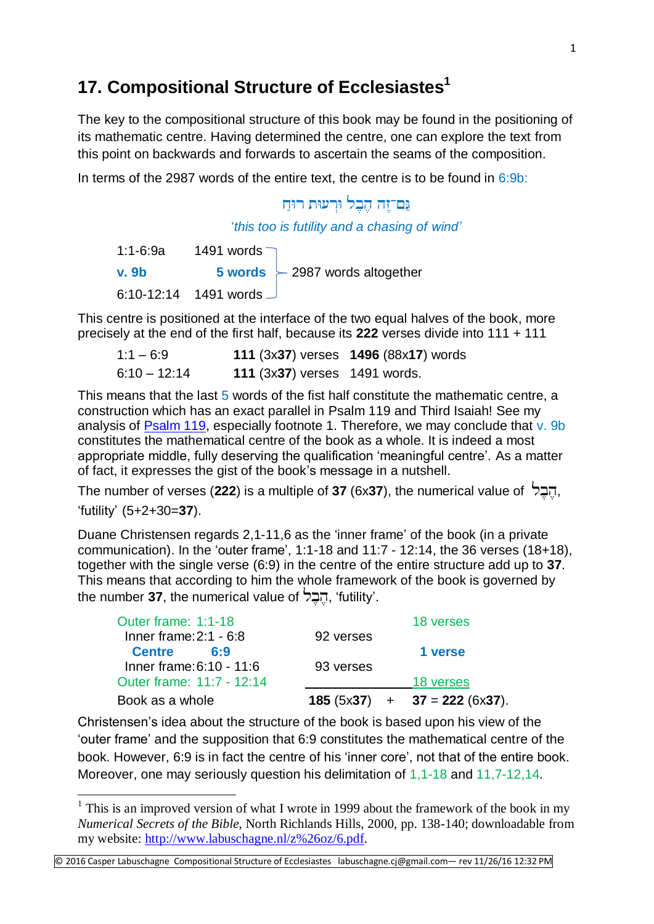## **17. Compositional Structure of Ecclesiastes<sup>1</sup>**

The key to the compositional structure of this book may be found in the positioning of its mathematic centre. Having determined the centre, one can explore the text from this point on backwards and forwards to ascertain the seams of the composition.

In terms of the 2987 words of the entire text, the centre is to be found in  $6:9b$ :

## גם־זה הכל ורעות רוח

'*this too is futility and a chasing of wind'*

| $1:1 - 6:9a$ | 1491 words $\neg$     |                                  |
|--------------|-----------------------|----------------------------------|
| <u>v. 9b</u> |                       | 5 words $-2987$ words altogether |
|              | 6:10-12:14 1491 words |                                  |

This centre is positioned at the interface of the two equal halves of the book, more precisely at the end of the first half, because its **222** verses divide into 111 + 111

| $1:1 - 6:9$  |                               | 111 (3x37) verses 1496 (88x17) words |
|--------------|-------------------------------|--------------------------------------|
| 6:10 – 12:14 | 111 (3x37) verses 1491 words. |                                      |

This means that the last 5 words of the fist half constitute the mathematic centre, a construction which has an exact parallel in Psalm 119 and Third Isaiah! See my analysis of [Psalm 119,](http://www.labuschagne.nl/ps119.pdf) especially footnote 1. Therefore, we may conclude that v. 9b constitutes the mathematical centre of the book as a whole. It is indeed a most appropriate middle, fully deserving the qualification 'meaningful centre'. As a matter of fact, it expresses the gist of the book's message in a nutshell.

The number of verses (**222**) is a multiple of **37** (6x**37**), the numerical value of , 'futility' (5+2+30=**37**).

Duane Christensen regards 2,1-11,6 as the 'inner frame' of the book (in a private communication). In the 'outer frame', 1:1-18 and 11:7 - 12:14, the 36 verses (18+18), together with the single verse (6:9) in the centre of the entire structure add up to **37**. This means that according to him the whole framework of the book is governed by the number **37**, the numerical value of הבל, 'futility'.

| Book as a whole           |           | $185 (5x37) + 37 = 222 (6x37)$ . |
|---------------------------|-----------|----------------------------------|
| Outer frame: 11:7 - 12:14 |           | 18 verses                        |
| Inner frame: 6:10 - 11:6  | 93 verses |                                  |
| <b>Centre</b><br>6:9      |           | 1 verse                          |
| Inner frame: $2:1 - 6:8$  | 92 verses |                                  |
| Outer frame: 1:1-18       |           | 18 verses                        |

Christensen's idea about the structure of the book is based upon his view of the 'outer frame' and the supposition that 6:9 constitutes the mathematical centre of the book. However, 6:9 is in fact the centre of his 'inner core', not that of the entire book. Moreover, one may seriously question his delimitation of 1,1-18 and 11,7-12,14.

© 2016 Casper Labuschagne Compositional Structure of Ecclesiastes labuschagne.cj@gmail.com— rev 11/26/16 12:32 PM

**.** 

<sup>&</sup>lt;sup>1</sup> This is an improved version of what I wrote in 1999 about the framework of the book in my *Numerical Secrets of the Bible,* North Richlands Hills, 2000, pp. 138-140; downloadable from my website: [http://www.labuschagne.nl/z%26oz/6.pdf.](http://www.labuschagne.nl/z%26oz/6.pdf)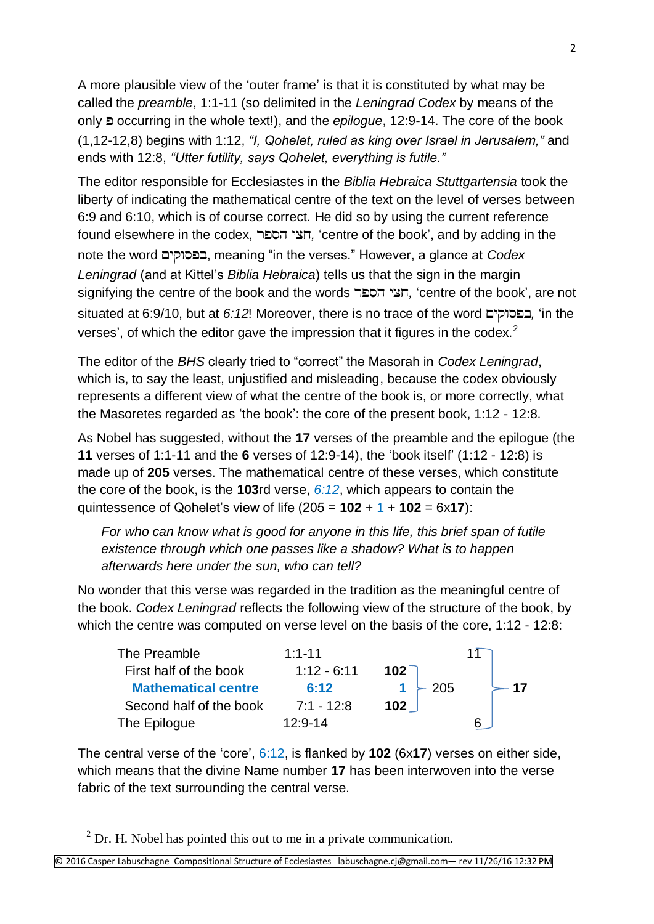A more plausible view of the 'outer frame' is that it is constituted by what may be called the *preamble*, 1:1-11 (so delimited in the *Leningrad Codex* by means of the only occurring in the whole text!), and the *epilogue*, 12:9-14. The core of the book (1,12-12,8) begins with 1:12, *"I, Qohelet, ruled as king over Israel in Jerusalem,"* and ends with 12:8, *"Utter futility, says Qohelet, everything is futile."*

The editor responsible for Ecclesiastes in the *Biblia Hebraica Stuttgartensia* took the liberty of indicating the mathematical centre of the text on the level of verses between 6:9 and 6:10, which is of course correct. He did so by using the current reference found elsewhere in the codex, *,* 'centre of the book', and by adding in the note the word , meaning "in the verses." However, a glance at *Codex Leningrad* (and at Kittel's *Biblia Hebraica*) tells us that the sign in the margin signifying the centre of the book and the words *,* 'centre of the book', are not situated at 6:9/10, but at *6:12*! Moreover, there is no trace of the word *,* 'in the verses', of which the editor gave the impression that it figures in the codex.<sup>2</sup>

The editor of the *BHS* clearly tried to "correct" the Masorah in *Codex Leningrad*, which is, to say the least, unjustified and misleading, because the codex obviously represents a different view of what the centre of the book is, or more correctly, what the Masoretes regarded as 'the book': the core of the present book, 1:12 - 12:8.

As Nobel has suggested, without the **17** verses of the preamble and the epilogue (the **11** verses of 1:1-11 and the **6** verses of 12:9-14), the 'book itself' (1:12 - 12:8) is made up of **205** verses. The mathematical centre of these verses, which constitute the core of the book, is the **103**rd verse, *6:12*, which appears to contain the quintessence of Qohelet's view of life (205 = **102** + 1 + **102** = 6x**17**):

*For who can know what is good for anyone in this life, this brief span of futile existence through which one passes like a shadow? What is to happen afterwards here under the sun, who can tell?*

No wonder that this verse was regarded in the tradition as the meaningful centre of the book. *Codex Leningrad* reflects the following view of the structure of the book, by which the centre was computed on verse level on the basis of the core, 1:12 - 12:8:

| The Preamble               | $1:1 - 11$    |        |  |
|----------------------------|---------------|--------|--|
| First half of the book     | $1:12 - 6:11$ | $102-$ |  |
| <b>Mathematical centre</b> | 6:12          | $-205$ |  |
| Second half of the book    | $7:1 - 12:8$  | 102    |  |
| The Epilogue               | $12:9 - 14$   |        |  |

The central verse of the 'core', 6:12, is flanked by **102** (6x**17**) verses on either side, which means that the divine Name number **17** has been interwoven into the verse fabric of the text surrounding the central verse.

**.** 

 $2$  Dr. H. Nobel has pointed this out to me in a private communication.

<sup>©</sup> 2016 Casper Labuschagne Compositional Structure of Ecclesiastes labuschagne.cj@gmail.com— rev 11/26/16 12:32 PM